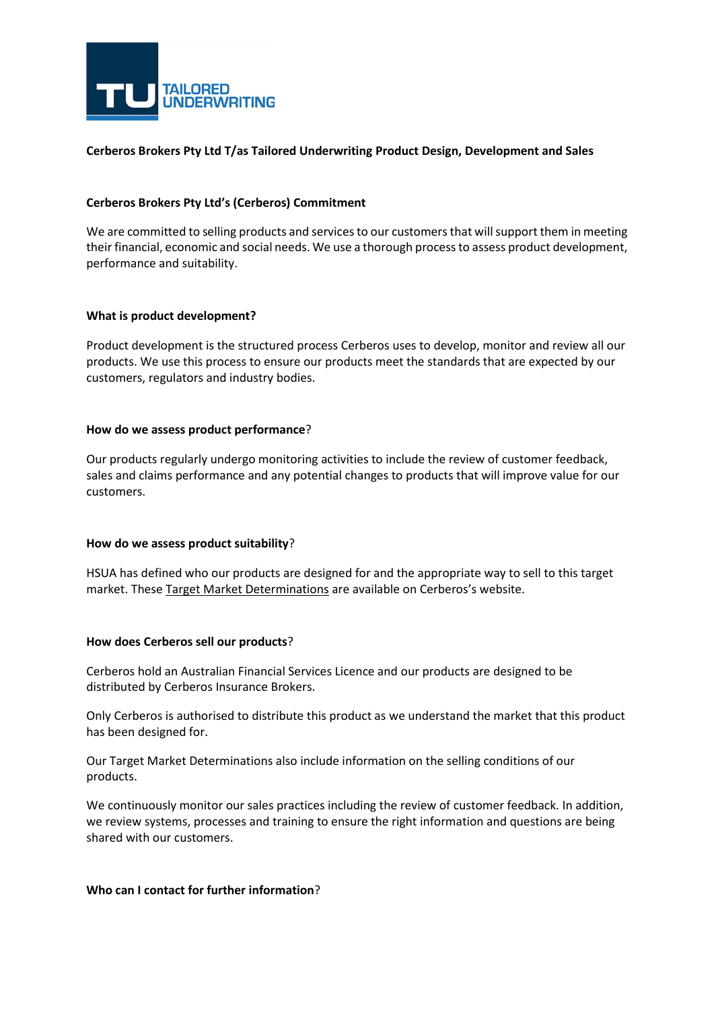

# **Cerberos Brokers Pty Ltd T/as Tailored Underwriting Product Design, Development and Sales**

## **Cerberos Brokers Pty Ltd's (Cerberos) Commitment**

We are committed to selling products and services to our customers that will support them in meeting their financial, economic and social needs. We use a thorough process to assess product development, performance and suitability.

### **What is product development?**

Product development is the structured process Cerberos uses to develop, monitor and review all our products. We use this process to ensure our products meet the standards that are expected by our customers, regulators and industry bodies.

### **How do we assess product performance**?

Our products regularly undergo monitoring activities to include the review of customer feedback, sales and claims performance and any potential changes to products that will improve value for our customers.

### **How do we assess product suitability**?

HSUA has defined who our products are designed for and the appropriate way to sell to this target market. These [Target Market Determinations](https://www.racq.com.au/insurance/learn-more-about-insurance/insurance-disclosure-documents) are available on Cerberos's website.

### **How does Cerberos sell our products**?

Cerberos hold an Australian Financial Services Licence and our products are designed to be distributed by Cerberos Insurance Brokers.

Only Cerberos is authorised to distribute this product as we understand the market that this product has been designed for.

Our Target Market Determinations also include information on the selling conditions of our products.

We continuously monitor our sales practices including the review of customer feedback. In addition, we review systems, processes and training to ensure the right information and questions are being shared with our customers.

### **Who can I contact for further information**?